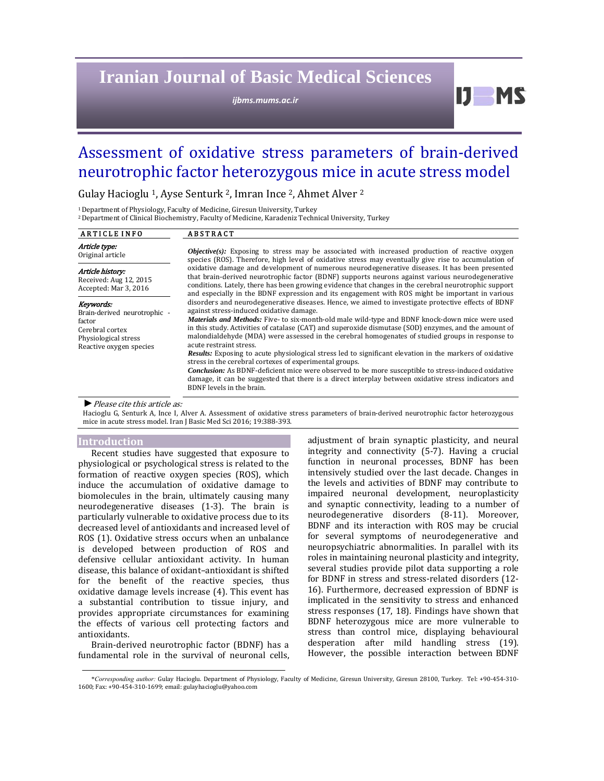# **Iranian Journal of Basic Medical Sciences**

*ijbms.mums.ac.ir*

Assessment of oxidative stress parameters of brain-derived neurotrophic factor heterozygous mice in acute stress model

Gulay Hacioglu<sup>1</sup>, Ayse Senturk<sup>2</sup>, Imran Ince<sup>2</sup>, Ahmet Alver<sup>2</sup>

<sup>1</sup> Department of Physiology, Faculty of Medicine, Giresun University, Turkey

<sup>2</sup> Department of Clinical Biochemistry, Faculty of Medicine, Karadeniz Technical University, Turkey

| <b>ARTICLE INFO</b>                                                                                                       | <b>ABSTRACT</b>                                                                                                                                                                                                                                                                                                                                                                                                                                                                                                                                                                                                                                                                                                                                                                                                                                                                                                                                                                                                                                                                                                                                                                                                                                                                                                                                                                                                                                                                                                                                                                |
|---------------------------------------------------------------------------------------------------------------------------|--------------------------------------------------------------------------------------------------------------------------------------------------------------------------------------------------------------------------------------------------------------------------------------------------------------------------------------------------------------------------------------------------------------------------------------------------------------------------------------------------------------------------------------------------------------------------------------------------------------------------------------------------------------------------------------------------------------------------------------------------------------------------------------------------------------------------------------------------------------------------------------------------------------------------------------------------------------------------------------------------------------------------------------------------------------------------------------------------------------------------------------------------------------------------------------------------------------------------------------------------------------------------------------------------------------------------------------------------------------------------------------------------------------------------------------------------------------------------------------------------------------------------------------------------------------------------------|
| <i>Article type:</i><br>Original article                                                                                  | <b><i>Objective(s)</i></b> : Exposing to stress may be associated with increased production of reactive oxygen<br>species (ROS). Therefore, high level of oxidative stress may eventually give rise to accumulation of<br>oxidative damage and development of numerous neurodegenerative diseases. It has been presented<br>that brain-derived neurotrophic factor (BDNF) supports neurons against various neurodegenerative<br>conditions. Lately, there has been growing evidence that changes in the cerebral neurotrophic support<br>and especially in the BDNF expression and its engagement with ROS might be important in various<br>disorders and neurodegenerative diseases. Hence, we aimed to investigate protective effects of BDNF<br>against stress-induced oxidative damage.<br><i>Materials and Methods:</i> Five- to six-month-old male wild-type and BDNF knock-down mice were used<br>in this study. Activities of catalase (CAT) and superoxide dismutase (SOD) enzymes, and the amount of<br>malondialdehyde (MDA) were assessed in the cerebral homogenates of studied groups in response to<br>acute restraint stress.<br><b>Results:</b> Exposing to acute physiological stress led to significant elevation in the markers of oxidative<br>stress in the cerebral cortexes of experimental groups.<br><b>Conclusion:</b> As BDNF-deficient mice were observed to be more susceptible to stress-induced oxidative<br>damage, it can be suggested that there is a direct interplay between oxidative stress indicators and<br>BDNF levels in the brain. |
| Article history:<br>Received: Aug 12, 2015<br>Accepted: Mar 3, 2016                                                       |                                                                                                                                                                                                                                                                                                                                                                                                                                                                                                                                                                                                                                                                                                                                                                                                                                                                                                                                                                                                                                                                                                                                                                                                                                                                                                                                                                                                                                                                                                                                                                                |
| Keywords:<br>Brain-derived neurotrophic -<br>factor<br>Cerebral cortex<br>Physiological stress<br>Reactive oxygen species |                                                                                                                                                                                                                                                                                                                                                                                                                                                                                                                                                                                                                                                                                                                                                                                                                                                                                                                                                                                                                                                                                                                                                                                                                                                                                                                                                                                                                                                                                                                                                                                |

▶ *Please cite this article as:* 

Hacioglu G, Senturk A, Ince I, Alver A. Assessment of oxidative stress parameters of brain-derived neurotrophic factor heterozygous mice in acute stress model. Iran J Basic Med Sci 2016; 19:388-393.

#### **Introduction**

Recent studies have suggested that exposure to physiological or psychological stress is related to the formation of reactive oxygen species (ROS), which induce the accumulation of oxidative damage to biomolecules in the brain, ultimately causing many neurodegenerative diseases (1-3). The brain is particularly vulnerable to oxidative process due to its decreased level of antioxidants and increased level of ROS (1). Oxidative stress occurs when an unbalance is developed between production of ROS and defensive cellular antioxidant activity. In human disease, this balance of oxidant-antioxidant is shifted for the benefit of the reactive species, thus oxidative damage levels increase  $(4)$ . This event has a substantial contribution to tissue injury, and provides appropriate circumstances for examining the effects of various cell protecting factors and antioxidants. 

Brain-derived neurotrophic factor (BDNF) has a fundamental role in the survival of neuronal cells, adjustment of brain synaptic plasticity, and neural integrity and connectivity (5-7). Having a crucial function in neuronal processes, BDNF has been intensively studied over the last decade. Changes in the levels and activities of BDNF may contribute to impaired neuronal development, neuroplasticity and synaptic connectivity, leading to a number of neurodegenerative disorders (8-11). Moreover, BDNF and its interaction with ROS may be crucial for several symptoms of neurodegenerative and neuropsychiatric abnormalities. In parallel with its roles in maintaining neuronal plasticity and integrity, several studies provide pilot data supporting a role for BDNF in stress and stress-related disorders (12-16). Furthermore, decreased expression of BDNF is implicated in the sensitivity to stress and enhanced stress responses  $(17, 18)$ . Findings have shown that BDNF heterozygous mice are more vulnerable to stress than control mice, displaying behavioural desperation after mild handling stress (19). However, the possible interaction between BDNF

 $IJ$  MS

<sup>\*</sup>*Corresponding author:* Gulay Hacioglu. Department of Physiology, Faculty of Medicine, Giresun University, Giresun 28100, Turkey. Tel: +90‐454‐310‐ 1600; Fax: +90-454-310-1699; email: gulayhacioglu@yahoo.com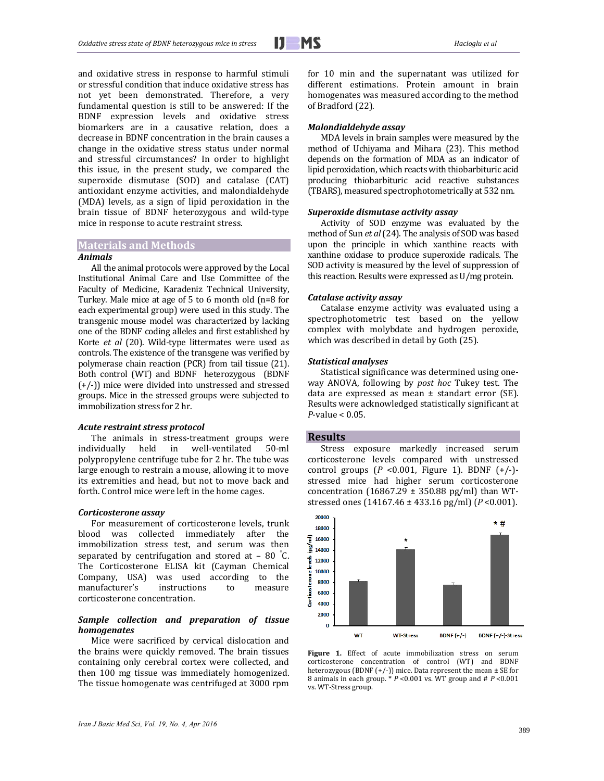and oxidative stress in response to harmful stimuli or stressful condition that induce oxidative stress has not yet been demonstrated. Therefore, a very fundamental question is still to be answered: If the BDNF expression levels and oxidative stress biomarkers are in a causative relation, does a decrease in BDNF concentration in the brain causes a change in the oxidative stress status under normal and stressful circumstances? In order to highlight this issue, in the present study, we compared the superoxide dismutase (SOD) and catalase (CAT) antioxidant enzyme activities, and malondialdehyde (MDA) levels, as a sign of lipid peroxidation in the brain tissue of BDNF heterozygous and wild-type mice in response to acute restraint stress.

# **Materials and Methods**

#### *Animals*

All the animal protocols were approved by the Local Institutional Animal Care and Use Committee of the Faculty of Medicine, Karadeniz Technical University, Turkey. Male mice at age of  $5$  to  $6$  month old  $(n=8$  for each experimental group) were used in this study. The transgenic mouse model was characterized by lacking one of the BDNF coding alleles and first established by Korte *et al* (20). Wild-type littermates were used as controls. The existence of the transgene was verified by polymerase chain reaction (PCR) from tail tissue (21). Both control (WT) and BDNF heterozygous (BDNF  $(+/-)$ ) mice were divided into unstressed and stressed groups. Mice in the stressed groups were subjected to immobilization stress for 2 hr.

## *Acute restraint stress protocol*

The animals in stress-treatment groups were individually held in well-ventilated 50-ml polypropylene centrifuge tube for 2 hr. The tube was large enough to restrain a mouse, allowing it to move its extremities and head, but not to move back and forth. Control mice were left in the home cages.

#### *Corticosterone assay*

For measurement of corticosterone levels, trunk blood was collected immediately after the immobilization stress test, and serum was then separated by centrifugation and stored at  $-80$  °C. The Corticosterone ELISA kit (Cayman Chemical Company, USA) was used according to the manufacturer's instructions to measure corticosterone concentration.

# *Sample collection and preparation of tissue homogenates*

Mice were sacrificed by cervical dislocation and the brains were quickly removed. The brain tissues containing only cerebral cortex were collected, and then 100 mg tissue was immediately homogenized. The tissue homogenate was centrifuged at 3000 rpm for 10 min and the supernatant was utilized for different estimations. Protein amount in brain homogenates was measured according to the method of Bradford (22).

#### *Malondialdehyde assay*

MDA levels in brain samples were measured by the method of Uchiyama and Mihara (23). This method depends on the formation of MDA as an indicator of lipid peroxidation, which reacts with thiobarbituric acid producing thiobarbituric acid reactive substances (TBARS), measured spectrophotometrically at 532 nm.

#### *Superoxide dismutase activity assay*

Activity of SOD enzyme was evaluated by the method of Sun et al (24). The analysis of SOD was based upon the principle in which xanthine reacts with xanthine oxidase to produce superoxide radicals. The SOD activity is measured by the level of suppression of this reaction. Results were expressed as  $U/mg$  protein.

# *Catalase activity assay*

Catalase enzyme activity was evaluated using a spectrophotometric test based on the yellow complex with molybdate and hydrogen peroxide, which was described in detail by Goth (25).

#### *Statistical analyses*

Statistical significance was determined using oneway ANOVA, following by *post hoc* Tukey test. The data are expressed as mean  $\pm$  standart error (SE). Results were acknowledged statistically significant at  $P$ -value  $< 0.05$ .

#### **Results**

Stress exposure markedly increased serum corticosterone levels compared with unstressed control groups  $(P < 0.001$ , Figure 1). BDNF  $(+/-)$ stressed mice had higher serum corticosterone concentration  $(16867.29 \pm 350.88 \text{ pg/ml})$  than WTstressed ones  $(14167.46 \pm 433.16 \text{ pg/ml})$   $(P < 0.001)$ .



Figure 1. Effect of acute immobilization stress on serum corticosterone concentration of control (WT) and BDNF heterozygous (BDNF (+/-)) mice. Data represent the mean  $\pm$  SE for 8 animals in each group.  $* P \le 0.001$  vs. WT group and  $# P \le 0.001$ vs. WT-Stress group.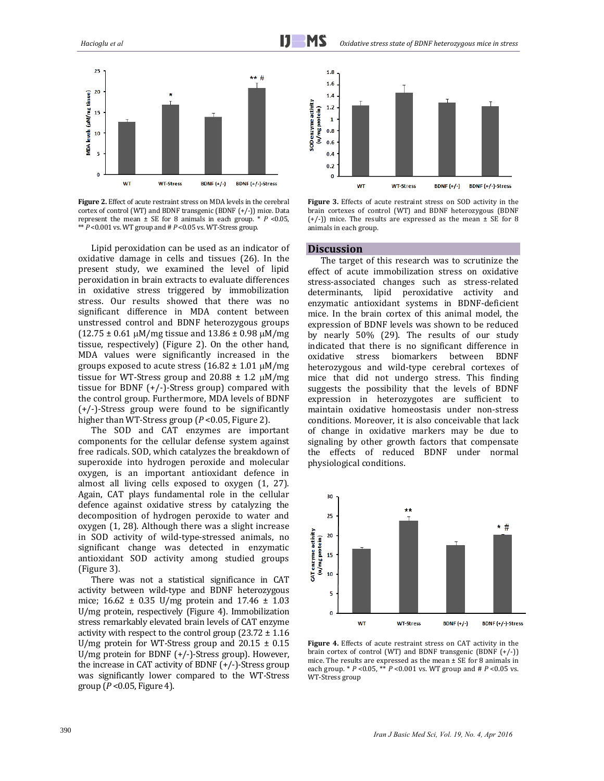

Figure 2. Effect of acute restraint stress on MDA levels in the cerebral cortex of control (WT) and BDNF transgenic (BDNF  $(+/-)$ ) mice. Data represent the mean  $\pm$  SE for 8 animals in each group. \*  $P$  <0.05,  $*$ <sup>\*</sup>  $P$  <0.001 vs. WT group and  $#$   $P$  <0.05 vs. WT-Stress group.

Lipid peroxidation can be used as an indicator of oxidative damage in cells and tissues (26). In the present study, we examined the level of lipid peroxidation in brain extracts to evaluate differences in oxidative stress triggered by immobilization stress. Our results showed that there was no significant difference in MDA content between unstressed control and BDNF heterozygous groups  $(12.75 \pm 0.61 \,\mu M/mg$  tissue and  $13.86 \pm 0.98 \,\mu M/mg$ tissue, respectively) (Figure 2). On the other hand, MDA values were significantly increased in the groups exposed to acute stress  $(16.82 \pm 1.01 \,\mu\text{M/mg})$ tissue for WT-Stress group and  $20.88 \pm 1.2 \mu M/mg$ tissue for BDNF  $(+/-)$ -Stress group) compared with the control group. Furthermore, MDA levels of BDNF  $(+/-)$ -Stress group were found to be significantly higher than WT-Stress group  $(P < 0.05$ , Figure 2).

The SOD and CAT enzymes are important components for the cellular defense system against free radicals. SOD, which catalyzes the breakdown of superoxide into hydrogen peroxide and molecular oxygen, is an important antioxidant defence in almost all living cells exposed to oxygen  $(1, 27)$ . Again, CAT plays fundamental role in the cellular defence against oxidative stress by catalyzing the decomposition of hydrogen peroxide to water and  $oxygen$  (1, 28). Although there was a slight increase in SOD activity of wild-type-stressed animals, no significant change was detected in enzymatic antioxidant SOD activity among studied groups (Figure 3).

There was not a statistical significance in CAT activity between wild-type and BDNF heterozygous mice;  $16.62 \pm 0.35 \text{ U/mg}$  protein and  $17.46 \pm 1.03$ U/mg protein, respectively (Figure 4). Immobilization stress remarkably elevated brain levels of CAT enzyme activity with respect to the control group  $(23.72 \pm 1.16)$ U/mg protein for WT-Stress group and  $20.15 \pm 0.15$ U/mg protein for BDNF  $(+/-)$ -Stress group). However, the increase in CAT activity of BDNF  $(+/-)$ -Stress group was significantly lower compared to the WT-Stress group  $(P<0.05$ , Figure 4).



**Figure** 3. Effects of acute restraint stress on SOD activity in the brain cortexes of control (WT) and BDNF heterozygous (BDNF  $(+/-)$ ) mice. The results are expressed as the mean  $\pm$  SE for 8 animals in each group.

# **Discussion**

The target of this research was to scrutinize the effect of acute immobilization stress on oxidative stress-associated changes such as stress-related determinants, lipid peroxidative activity and enzymatic antioxidant systems in BDNF-deficient mice. In the brain cortex of this animal model, the expression of BDNF levels was shown to be reduced by nearly 50% (29). The results of our study indicated that there is no significant difference in oxidative stress biomarkers between BDNF heterozygous and wild-type cerebral cortexes of mice that did not undergo stress. This finding suggests the possibility that the levels of BDNF expression in heterozygotes are sufficient to maintain oxidative homeostasis under non-stress conditions. Moreover, it is also conceivable that lack of change in oxidative markers may be due to signaling by other growth factors that compensate the effects of reduced BDNF under normal physiological conditions.



**Figure 4.** Effects of acute restraint stress on CAT activity in the brain cortex of control (WT) and BDNF transgenic (BDNF  $(+/-)$ ) mice. The results are expressed as the mean  $\pm$  SE for 8 animals in each group.  $* P \le 0.05$ ,  $* P \le 0.001$  vs. WT group and  $# P \le 0.05$  vs. WT-Stress group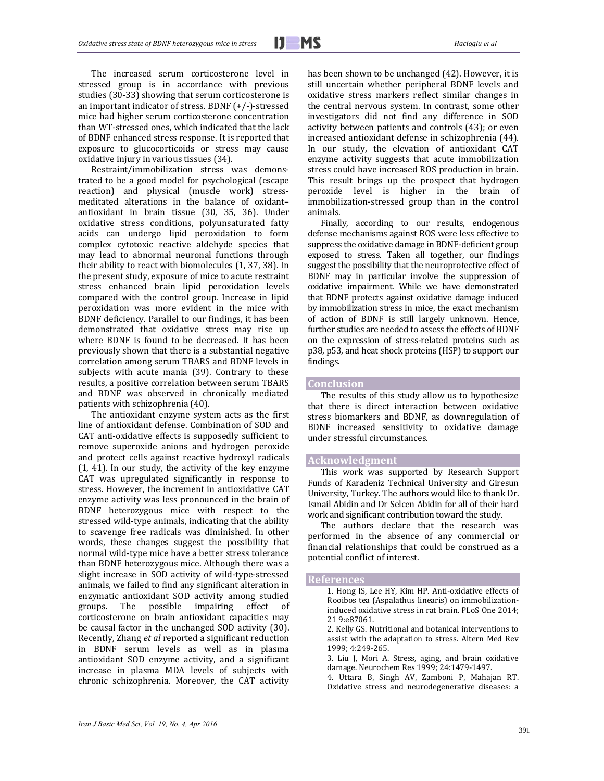The increased serum corticosterone level in stressed group is in accordance with previous studies (30-33) showing that serum corticosterone is an important indicator of stress. BDNF  $(+/-)$ -stressed mice had higher serum corticosterone concentration than WT-stressed ones, which indicated that the lack of BDNF enhanced stress response. It is reported that exposure to glucocorticoids or stress may cause oxidative injury in various tissues (34).

Restraint/immobilization stress was demonstrated to be a good model for psychological (escape reaction) and physical (muscle work) stressmeditated alterations in the balance of oxidantantioxidant in brain tissue (30, 35, 36). Under oxidative stress conditions, polyunsaturated fatty acids can undergo lipid peroxidation to form complex cytotoxic reactive aldehyde species that may lead to abnormal neuronal functions through their ability to react with biomolecules  $(1, 37, 38)$ . In the present study, exposure of mice to acute restraint stress enhanced brain lipid peroxidation levels compared with the control group. Increase in lipid peroxidation was more evident in the mice with BDNF deficiency. Parallel to our findings, it has been demonstrated that oxidative stress may rise up where BDNF is found to be decreased. It has been previously shown that there is a substantial negative correlation among serum TBARS and BDNF levels in subjects with acute mania (39). Contrary to these results, a positive correlation between serum TBARS and BDNF was observed in chronically mediated patients with schizophrenia (40).

The antioxidant enzyme system acts as the first line of antioxidant defense. Combination of SOD and CAT anti-oxidative effects is supposedly sufficient to remove superoxide anions and hydrogen peroxide and protect cells against reactive hydroxyl radicals  $(1, 41)$ . In our study, the activity of the key enzyme CAT was upregulated significantly in response to stress. However, the increment in antioxidative CAT enzyme activity was less pronounced in the brain of BDNF heterozygous mice with respect to the stressed wild-type animals, indicating that the ability to scavenge free radicals was diminished. In other words, these changes suggest the possibility that normal wild-type mice have a better stress tolerance than BDNF heterozygous mice. Although there was a slight increase in SOD activity of wild-type-stressed animals, we failed to find any significant alteration in enzymatic antioxidant SOD activity among studied groups. The possible impairing effect of corticosterone on brain antioxidant capacities may be causal factor in the unchanged SOD activity (30). Recently, Zhang *et al* reported a significant reduction in BDNF serum levels as well as in plasma antioxidant SOD enzyme activity, and a significant increase in plasma MDA levels of subjects with chronic schizophrenia. Moreover, the CAT activity has been shown to be unchanged (42). However, it is still uncertain whether peripheral BDNF levels and oxidative stress markers reflect similar changes in the central nervous system. In contrast, some other investigators did not find any difference in SOD activity between patients and controls (43); or even increased antioxidant defense in schizophrenia (44). In our study, the elevation of antioxidant CAT enzyme activity suggests that acute immobilization stress could have increased ROS production in brain. This result brings up the prospect that hydrogen peroxide level is higher in the brain of immobilization-stressed group than in the control animals. 

Finally, according to our results, endogenous defense mechanisms against ROS were less effective to suppress the oxidative damage in BDNF-deficient group exposed to stress. Taken all together, our findings suggest the possibility that the neuroprotective effect of BDNF may in particular involve the suppression of oxidative impairment. While we have demonstrated that BDNF protects against oxidative damage induced by immobilization stress in mice, the exact mechanism of action of BDNF is still largely unknown. Hence, further studies are needed to assess the effects of BDNF on the expression of stress-related proteins such as p38, p53, and heat shock proteins (HSP) to support our findings. 

# **Conclusion**

The results of this study allow us to hypothesize that there is direct interaction between oxidative stress biomarkers and BDNF, as downregulation of BDNF increased sensitivity to oxidative damage under stressful circumstances.

### **Acknowledgment**

This work was supported by Research Support Funds of Karadeniz Technical University and Giresun University, Turkey. The authors would like to thank Dr. Ismail Abidin and Dr Selcen Abidin for all of their hard work and significant contribution toward the study.

The authors declare that the research was performed in the absence of any commercial or financial relationships that could be construed as a potential conflict of interest.

# **References**

1. Hong IS, Lee HY, Kim HP. Anti-oxidative effects of Rooibos tea (Aspalathus linearis) on immobilizationinduced oxidative stress in rat brain. PLoS One 2014; 21 9:e87061. 

- 2. Kelly GS. Nutritional and botanical interventions to assist with the adaptation to stress. Altern Med Rev 1999; 4:249‐265.
- 3. Liu J, Mori A. Stress, aging, and brain oxidative damage. Neurochem Res 1999; 24:1479-1497.
- 4. Uttara B, Singh AV, Zamboni P, Mahajan RT. Oxidative stress and neurodegenerative diseases: a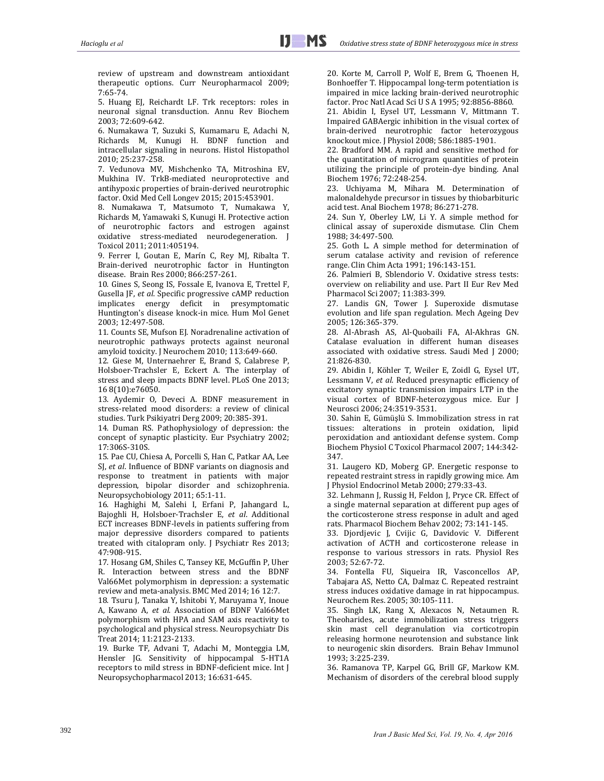review of upstream and downstream antioxidant therapeutic options. Curr Neuropharmacol 2009; 7:65‐74. 

5. Huang EJ, Reichardt LF. Trk receptors: roles in neuronal signal transduction. Annu Rev Biochem 2003; 72:609‐642. 

6. Numakawa T, Suzuki S, Kumamaru E, Adachi N, Richards M, Kunugi H. BDNF function and intracellular signaling in neurons. Histol Histopathol 2010; 25:237‐258. 

7. Vedunova MV, Mishchenko TA, Mitroshina EV, Mukhina IV. TrkB-mediated neuroprotective and antihypoxic properties of brain-derived neurotrophic factor. Oxid Med Cell Longev 2015; 2015:453901.

8. Numakawa T, Matsumoto T, Numakawa Y, Richards M, Yamawaki S, Kunugi H. Protective action of neurotrophic factors and estrogen against oxidative stress‐mediated neurodegeneration. J Toxicol 2011; 2011:405194.

9. Ferrer I, Goutan E, Marín C, Rey MJ, Ribalta T. Brain‐derived neurotrophic factor in Huntington disease. Brain Res 2000; 866:257-261.

10. Gines S. Seong IS, Fossale E. Ivanova E. Trettel F. Gusella JF, et al. Specific progressive cAMP reduction implicates energy deficit in presymptomatic Huntington's disease knock-in mice. Hum Mol Genet 2003; 12:497‐508. 

11. Counts SE, Mufson EJ. Noradrenaline activation of neurotrophic pathways protects against neuronal amyloid toxicity. J Neurochem 2010; 113:649-660.

12. Giese M, Unternaehrer E, Brand S, Calabrese P, Holsboer-Trachsler E, Eckert A. The interplay of stress and sleep impacts BDNF level. PLoS One 2013; 16 8(10):e76050. 

13. Aydemir O, Deveci A. BDNF measurement in stress-related mood disorders: a review of clinical studies. Turk Psikiyatri Derg 2009; 20:385-391.

14. Duman RS. Pathophysiology of depression: the concept of synaptic plasticity. Eur Psychiatry 2002; 17:306S‐310S. 

15. Pae CU, Chiesa A, Porcelli S, Han C, Patkar AA, Lee SI, *et al.* Influence of BDNF variants on diagnosis and response to treatment in patients with major depression, bipolar disorder and schizophrenia. Neuropsychobiology 2011; 65:1-11.

16. Haghighi M, Salehi I, Erfani P, Jahangard L, Bajoghli H, Holsboer‐Trachsler E, *et al*. Additional ECT increases BDNF-levels in patients suffering from major depressive disorders compared to patients treated with citalopram only. J Psychiatr Res 2013; 47:908‐915. 

17. Hosang GM, Shiles C, Tansey KE, McGuffin P, Uher R. Interaction between stress and the BDNF Val66Met polymorphism in depression: a systematic review and meta-analysis. BMC Med 2014; 16 12:7.

18. Tsuru J, Tanaka Y, Ishitobi Y, Maruyama Y, Inoue A, Kawano A, et al. Association of BDNF Val66Met polymorphism with HPA and SAM axis reactivity to psychological and physical stress. Neuropsychiatr Dis Treat 2014; 11:2123‐2133. 

19. Burke TF, Advani T, Adachi M, Monteggia LM, Hensler JG. Sensitivity of hippocampal 5-HT1A receptors to mild stress in BDNF-deficient mice. Int J Neuropsychopharmacol 2013; 16:631-645.

20. Korte M, Carroll P, Wolf E, Brem G, Thoenen H, Bonhoeffer T. Hippocampal long-term potentiation is impaired in mice lacking brain-derived neurotrophic factor. Proc Natl Acad Sci U S A 1995; 92:8856-8860.

21. Abidin I, Eysel UT, Lessmann V, Mittmann T. Impaired GABAergic inhibition in the visual cortex of brain‐derived neurotrophic factor heterozygous knockout mice. J Physiol 2008; 586:1885-1901.

22. Bradford MM. A rapid and sensitive method for the quantitation of microgram quantities of protein utilizing the principle of protein-dye binding. Anal Biochem 1976; 72:248-254.

23. Uchiyama M, Mihara M. Determination of malonaldehyde precursor in tissues by thiobarbituric acid test. Anal Biochem 1978; 86:271-278.

24. Sun Y, Oberley LW, Li Y. A simple method for clinical assay of superoxide dismutase. Clin Chem 1988; 34:497‐500. 

25. Goth L. A simple method for determination of serum catalase activity and revision of reference range. Clin Chim Acta 1991; 196:143-151.

26. Palmieri B, Sblendorio V. Oxidative stress tests: overview on reliability and use. Part II Eur Rev Med Pharmacol Sci 2007; 11:383‐399. 

27. Landis GN, Tower J. Superoxide dismutase evolution and life span regulation. Mech Ageing Dev 2005; 126:365‐379. 

28. Al-Abrash AS, Al-Quobaili FA, Al-Akhras GN. Catalase evaluation in different human diseases associated with oxidative stress. Saudi Med J 2000; 21:826‐830. 

29. Abidin I, Köhler T, Weiler E, Zoidl G, Eysel UT, Lessmann V, et al. Reduced presynaptic efficiency of excitatory synaptic transmission impairs LTP in the visual cortex of BDNF-heterozygous mice. Eur J Neurosci 2006; 24:3519‐3531. 

30. Sahin E, Gümüşlü S. Immobilization stress in rat tissues: alterations in protein oxidation, lipid peroxidation and antioxidant defense system. Comp Biochem Physiol C Toxicol Pharmacol 2007; 144:342-347. 

31. Laugero KD, Moberg GP. Energetic response to repeated restraint stress in rapidly growing mice. Am J Physiol Endocrinol Metab 2000; 279:33-43.

32. Lehmann J, Russig H, Feldon J, Pryce CR. Effect of a single maternal separation at different pup ages of the corticosterone stress response in adult and aged rats. Pharmacol Biochem Behav 2002; 73:141-145.

33. Djordjevic J, Cvijic G, Davidovic V. Different activation of ACTH and corticosterone release in response to various stressors in rats. Physiol Res 2003; 52:67‐72. 

34. Fontella FU, Siqueira IR, Vasconcellos AP, Tabajara AS, Netto CA, Dalmaz C. Repeated restraint stress induces oxidative damage in rat hippocampus. Neurochem Res. 2005; 30:105‐111. 

35. Singh LK, Rang X, Alexacos N, Netaumen R. Theoharides, acute immobilization stress triggers skin mast cell degranulation via corticotropin releasing hormone neurotension and substance link to neurogenic skin disorders. Brain Behav Immunol 1993; 3:225‐239. 

36. Ramanova TP, Karpel GG, Brill GF, Markow KM. Mechanism of disorders of the cerebral blood supply